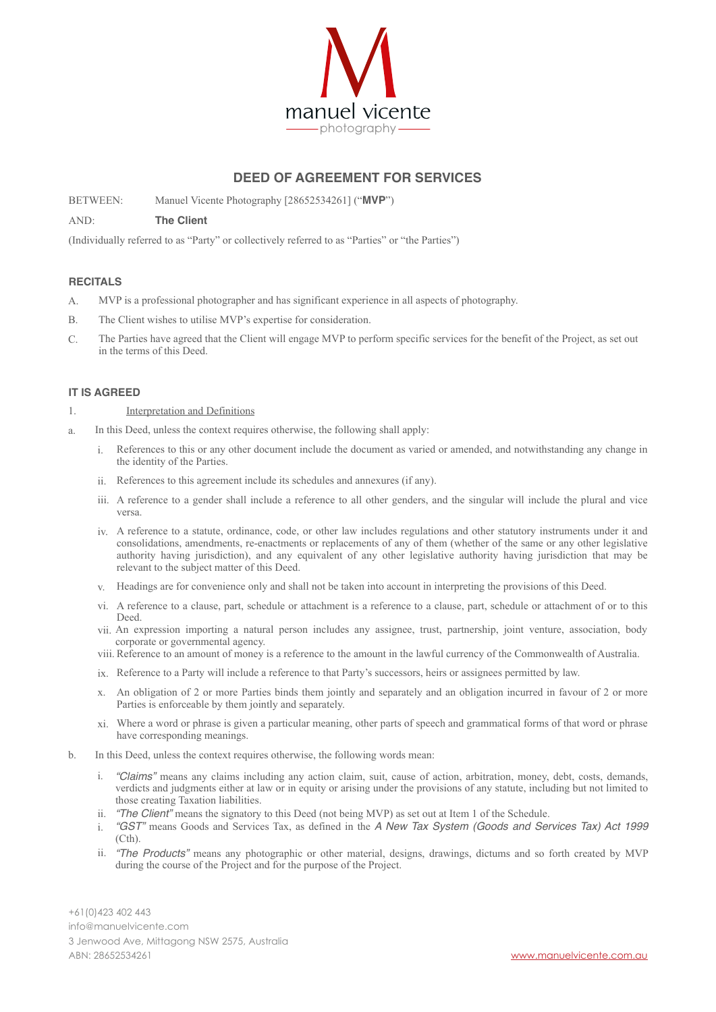

# **DEED OF AGREEMENT FOR SERVICES**

BETWEEN: Manuel Vicente Photography [28652534261] ("**MVP**")

### AND: **The Client**

(Individually referred to as "Party" or collectively referred to as "Parties" or "the Parties")

### **RECITALS**

- A. MVP is a professional photographer and has significant experience in all aspects of photography.
- B. The Client wishes to utilise MVP's expertise for consideration.
- C. The Parties have agreed that the Client will engage MVP to perform specific services for the benefit of the Project, as set out in the terms of this Deed.

### **IT IS AGREED**

- 1. Interpretation and Definitions
- a. In this Deed, unless the context requires otherwise, the following shall apply:
	- i. References to this or any other document include the document as varied or amended, and notwithstanding any change in the identity of the Parties.
	- ii. References to this agreement include its schedules and annexures (if any).
	- iii. A reference to a gender shall include a reference to all other genders, and the singular will include the plural and vice versa.
	- iv. A reference to a statute, ordinance, code, or other law includes regulations and other statutory instruments under it and consolidations, amendments, re-enactments or replacements of any of them (whether of the same or any other legislative authority having jurisdiction), and any equivalent of any other legislative authority having jurisdiction that may be relevant to the subject matter of this Deed.
	- v. Headings are for convenience only and shall not be taken into account in interpreting the provisions of this Deed.
	- vi. A reference to a clause, part, schedule or attachment is a reference to a clause, part, schedule or attachment of or to this Deed.
	- vii. An expression importing a natural person includes any assignee, trust, partnership, joint venture, association, body corporate or governmental agency.
	- viii. Reference to an amount of money is a reference to the amount in the lawful currency of the Commonwealth of Australia.
	- ix. Reference to a Party will include a reference to that Party's successors, heirs or assignees permitted by law.
	- x. An obligation of 2 or more Parties binds them jointly and separately and an obligation incurred in favour of 2 or more Parties is enforceable by them jointly and separately.
	- xi. Where a word or phrase is given a particular meaning, other parts of speech and grammatical forms of that word or phrase have corresponding meanings.
- b. In this Deed, unless the context requires otherwise, the following words mean:
	- i. *"Claims"* means any claims including any action claim, suit, cause of action, arbitration, money, debt, costs, demands, verdicts and judgments either at law or in equity or arising under the provisions of any statute, including but not limited to those creating Taxation liabilities.
	- ii. *"The Client"* means the signatory to this Deed (not being MVP) as set out at Item 1 of the Schedule.
	- i. *"GST"* means Goods and Services Tax, as defined in the *A New Tax System (Goods and Services Tax) Act 1999* (Cth).
	- ii. *"The Products"* means any photographic or other material, designs, drawings, dictums and so forth created by MVP during the course of the Project and for the purpose of the Project.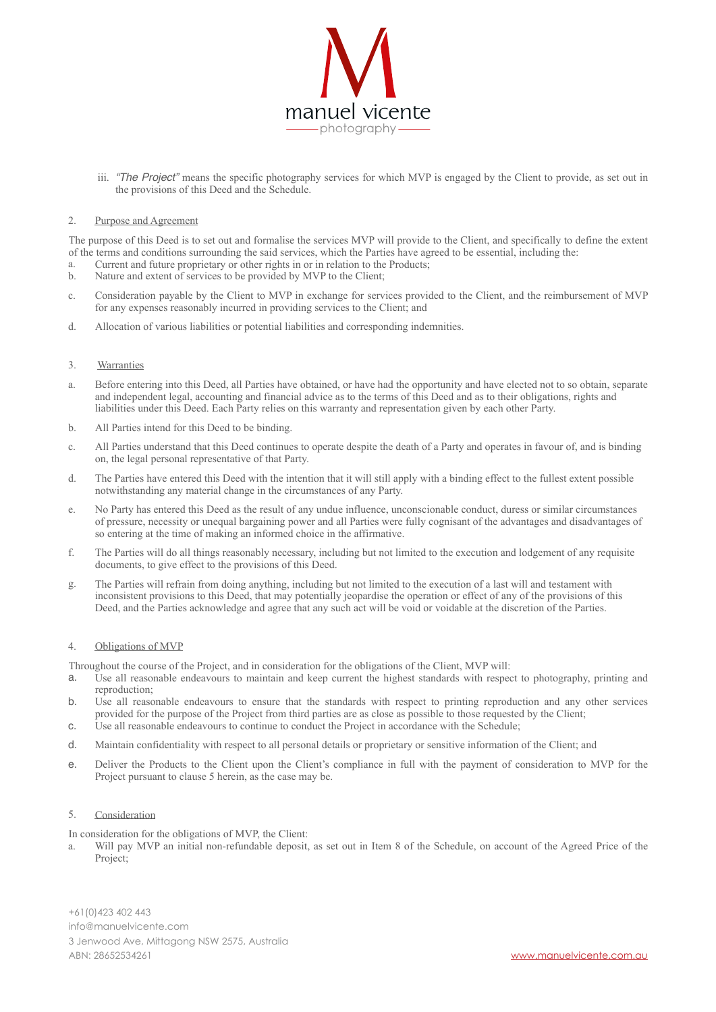

iii. *"The Project"* means the specific photography services for which MVP is engaged by the Client to provide, as set out in the provisions of this Deed and the Schedule.

#### 2. Purpose and Agreement

The purpose of this Deed is to set out and formalise the services MVP will provide to the Client, and specifically to define the extent of the terms and conditions surrounding the said services, which the Parties have agreed to be essential, including the:

- a. Current and future proprietary or other rights in or in relation to the Products;
- b. Nature and extent of services to be provided by MVP to the Client;
- c. Consideration payable by the Client to MVP in exchange for services provided to the Client, and the reimbursement of MVP for any expenses reasonably incurred in providing services to the Client; and
- d. Allocation of various liabilities or potential liabilities and corresponding indemnities.

#### 3. Warranties

- a. Before entering into this Deed, all Parties have obtained, or have had the opportunity and have elected not to so obtain, separate and independent legal, accounting and financial advice as to the terms of this Deed and as to their obligations, rights and liabilities under this Deed. Each Party relies on this warranty and representation given by each other Party.
- b. All Parties intend for this Deed to be binding.
- c. All Parties understand that this Deed continues to operate despite the death of a Party and operates in favour of, and is binding on, the legal personal representative of that Party.
- d. The Parties have entered this Deed with the intention that it will still apply with a binding effect to the fullest extent possible notwithstanding any material change in the circumstances of any Party.
- e. No Party has entered this Deed as the result of any undue influence, unconscionable conduct, duress or similar circumstances of pressure, necessity or unequal bargaining power and all Parties were fully cognisant of the advantages and disadvantages of so entering at the time of making an informed choice in the affirmative.
- f. The Parties will do all things reasonably necessary, including but not limited to the execution and lodgement of any requisite documents, to give effect to the provisions of this Deed.
- g. The Parties will refrain from doing anything, including but not limited to the execution of a last will and testament with inconsistent provisions to this Deed, that may potentially jeopardise the operation or effect of any of the provisions of this Deed, and the Parties acknowledge and agree that any such act will be void or voidable at the discretion of the Parties.

### 4. Obligations of MVP

Throughout the course of the Project, and in consideration for the obligations of the Client, MVP will:

- a. Use all reasonable endeavours to maintain and keep current the highest standards with respect to photography, printing and reproduction;
- b. Use all reasonable endeavours to ensure that the standards with respect to printing reproduction and any other services provided for the purpose of the Project from third parties are as close as possible to those requested by the Client;
- c. Use all reasonable endeavours to continue to conduct the Project in accordance with the Schedule;
- d. Maintain confidentiality with respect to all personal details or proprietary or sensitive information of the Client; and
- e. Deliver the Products to the Client upon the Client's compliance in full with the payment of consideration to MVP for the Project pursuant to clause 5 herein, as the case may be.

### 5. Consideration

In consideration for the obligations of MVP, the Client:

a. Will pay MVP an initial non-refundable deposit, as set out in Item 8 of the Schedule, on account of the Agreed Price of the Project;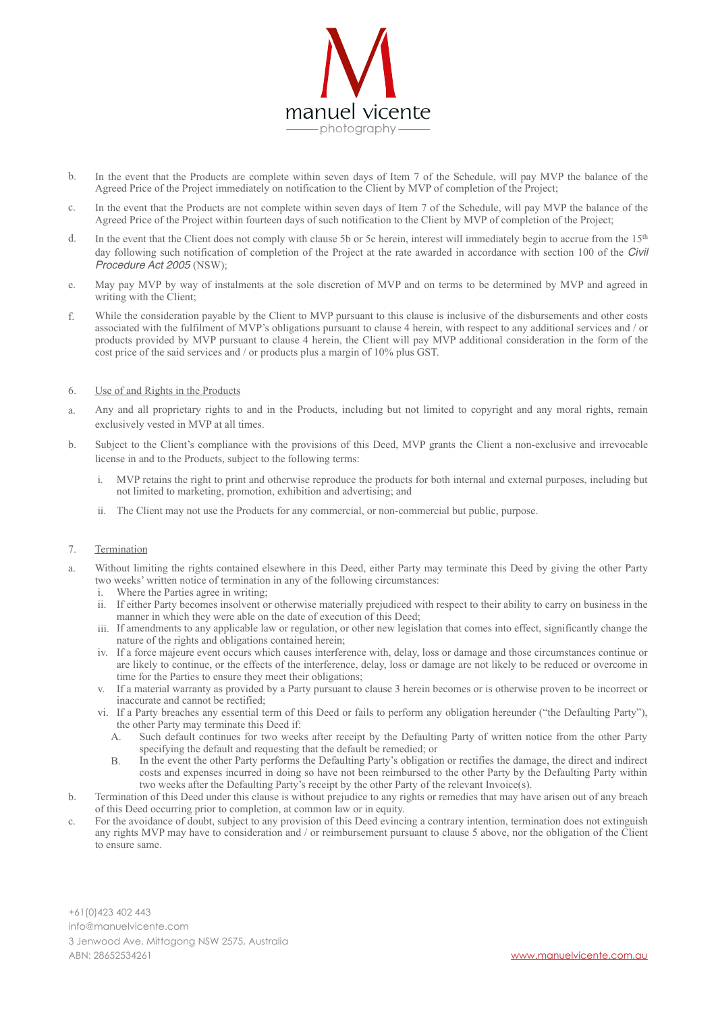

- b. In the event that the Products are complete within seven days of Item 7 of the Schedule, will pay MVP the balance of the Agreed Price of the Project immediately on notification to the Client by MVP of completion of the Project;
- c. In the event that the Products are not complete within seven days of Item 7 of the Schedule, will pay MVP the balance of the Agreed Price of the Project within fourteen days of such notification to the Client by MVP of completion of the Project;
- d. In the event that the Client does not comply with clause 5b or 5c herein, interest will immediately begin to accrue from the 15<sup>th</sup> day following such notification of completion of the Project at the rate awarded in accordance with section 100 of the *Civil Procedure Act 2005* (NSW);
- e. May pay MVP by way of instalments at the sole discretion of MVP and on terms to be determined by MVP and agreed in writing with the Client;
- f. While the consideration payable by the Client to MVP pursuant to this clause is inclusive of the disbursements and other costs associated with the fulfilment of MVP's obligations pursuant to clause 4 herein, with respect to any additional services and / or products provided by MVP pursuant to clause 4 herein, the Client will pay MVP additional consideration in the form of the cost price of the said services and / or products plus a margin of 10% plus GST.
- 6. Use of and Rights in the Products
- a. Any and all proprietary rights to and in the Products, including but not limited to copyright and any moral rights, remain exclusively vested in MVP at all times.
- b. Subject to the Client's compliance with the provisions of this Deed, MVP grants the Client a non-exclusive and irrevocable license in and to the Products, subject to the following terms:
	- i. MVP retains the right to print and otherwise reproduce the products for both internal and external purposes, including but not limited to marketing, promotion, exhibition and advertising; and
	- ii. The Client may not use the Products for any commercial, or non-commercial but public, purpose.

### 7. Termination

- a. Without limiting the rights contained elsewhere in this Deed, either Party may terminate this Deed by giving the other Party two weeks' written notice of termination in any of the following circumstances:
	- Where the Parties agree in writing;
	- ii. If either Party becomes insolvent or otherwise materially prejudiced with respect to their ability to carry on business in the manner in which they were able on the date of execution of this Deed;
	- iii. If amendments to any applicable law or regulation, or other new legislation that comes into effect, significantly change the nature of the rights and obligations contained herein;
	- iv. If a force majeure event occurs which causes interference with, delay, loss or damage and those circumstances continue or are likely to continue, or the effects of the interference, delay, loss or damage are not likely to be reduced or overcome in time for the Parties to ensure they meet their obligations;
	- v. If a material warranty as provided by a Party pursuant to clause 3 herein becomes or is otherwise proven to be incorrect or inaccurate and cannot be rectified;
	- vi. If a Party breaches any essential term of this Deed or fails to perform any obligation hereunder ("the Defaulting Party"), the other Party may terminate this Deed if:
		- A. Such default continues for two weeks after receipt by the Defaulting Party of written notice from the other Party specifying the default and requesting that the default be remedied; or
		- B. In the event the other Party performs the Defaulting Party's obligation or rectifies the damage, the direct and indirect costs and expenses incurred in doing so have not been reimbursed to the other Party by the Defaulting Party within two weeks after the Defaulting Party's receipt by the other Party of the relevant Invoice(s).
- b. Termination of this Deed under this clause is without prejudice to any rights or remedies that may have arisen out of any breach of this Deed occurring prior to completion, at common law or in equity.
- c. For the avoidance of doubt, subject to any provision of this Deed evincing a contrary intention, termination does not extinguish any rights MVP may have to consideration and / or reimbursement pursuant to clause 5 above, nor the obligation of the Client to ensure same.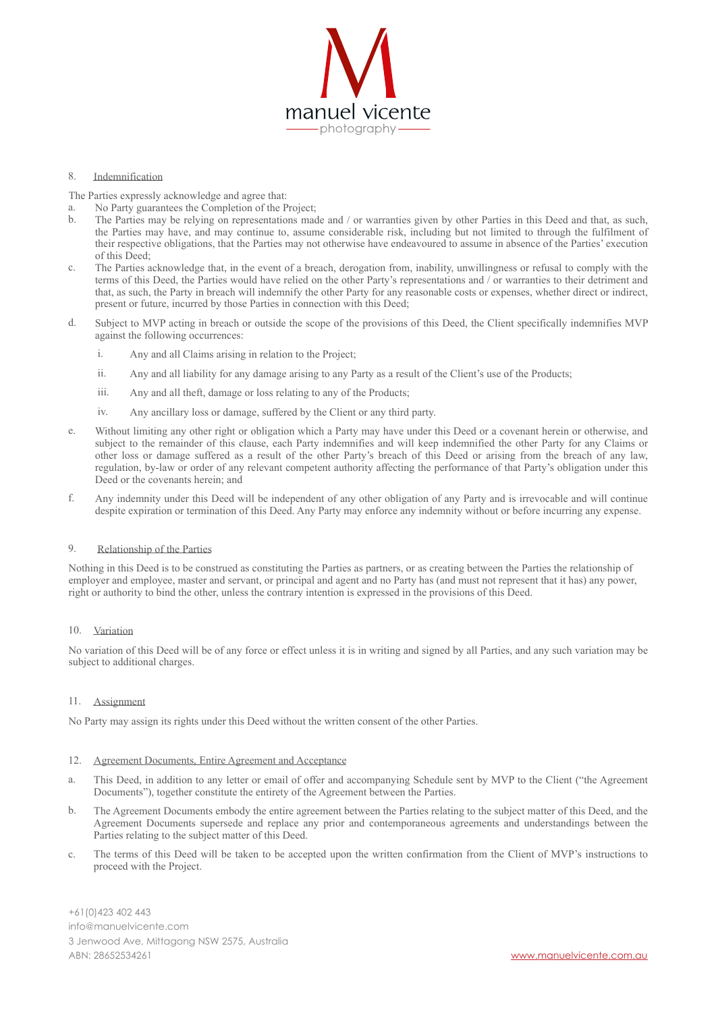

#### 8. Indemnification

The Parties expressly acknowledge and agree that:

- a. No Party guarantees the Completion of the Project;
- The Parties may be relying on representations made and / or warranties given by other Parties in this Deed and that, as such, the Parties may have, and may continue to, assume considerable risk, including but not limited to through the fulfilment of their respective obligations, that the Parties may not otherwise have endeavoured to assume in absence of the Parties' execution of this Deed;
- c. The Parties acknowledge that, in the event of a breach, derogation from, inability, unwillingness or refusal to comply with the terms of this Deed, the Parties would have relied on the other Party's representations and / or warranties to their detriment and that, as such, the Party in breach will indemnify the other Party for any reasonable costs or expenses, whether direct or indirect, present or future, incurred by those Parties in connection with this Deed;
- d. Subject to MVP acting in breach or outside the scope of the provisions of this Deed, the Client specifically indemnifies MVP against the following occurrences:
	- i. Any and all Claims arising in relation to the Project;
	- ii. Any and all liability for any damage arising to any Party as a result of the Client's use of the Products;
	- iii. Any and all theft, damage or loss relating to any of the Products;
	- iv. Any ancillary loss or damage, suffered by the Client or any third party.
- e. Without limiting any other right or obligation which a Party may have under this Deed or a covenant herein or otherwise, and subject to the remainder of this clause, each Party indemnifies and will keep indemnified the other Party for any Claims or other loss or damage suffered as a result of the other Party's breach of this Deed or arising from the breach of any law, regulation, by-law or order of any relevant competent authority affecting the performance of that Party's obligation under this Deed or the covenants herein; and
- f. Any indemnity under this Deed will be independent of any other obligation of any Party and is irrevocable and will continue despite expiration or termination of this Deed. Any Party may enforce any indemnity without or before incurring any expense.

#### 9. Relationship of the Parties

Nothing in this Deed is to be construed as constituting the Parties as partners, or as creating between the Parties the relationship of employer and employee, master and servant, or principal and agent and no Party has (and must not represent that it has) any power, right or authority to bind the other, unless the contrary intention is expressed in the provisions of this Deed.

### 10. Variation

No variation of this Deed will be of any force or effect unless it is in writing and signed by all Parties, and any such variation may be subject to additional charges.

### 11. Assignment

No Party may assign its rights under this Deed without the written consent of the other Parties.

#### 12. Agreement Documents, Entire Agreement and Acceptance

- a. This Deed, in addition to any letter or email of offer and accompanying Schedule sent by MVP to the Client ("the Agreement Documents"), together constitute the entirety of the Agreement between the Parties.
- b. The Agreement Documents embody the entire agreement between the Parties relating to the subject matter of this Deed, and the Agreement Documents supersede and replace any prior and contemporaneous agreements and understandings between the Parties relating to the subject matter of this Deed.
- c. The terms of this Deed will be taken to be accepted upon the written confirmation from the Client of MVP's instructions to proceed with the Project.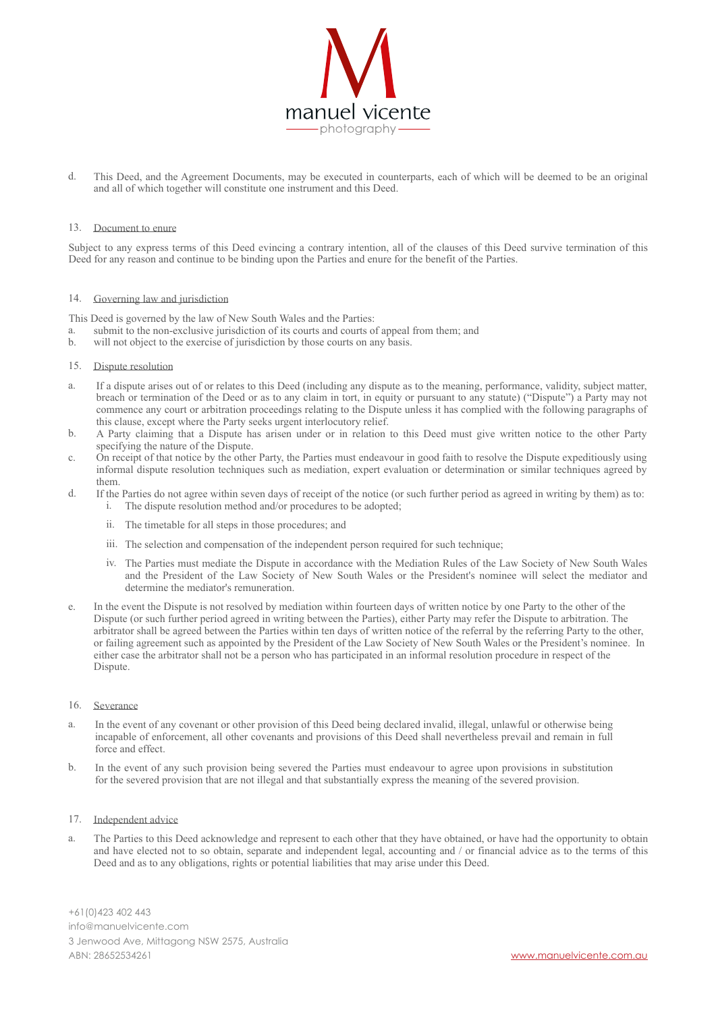

d. This Deed, and the Agreement Documents, may be executed in counterparts, each of which will be deemed to be an original and all of which together will constitute one instrument and this Deed.

#### 13. Document to enure

Subject to any express terms of this Deed evincing a contrary intention, all of the clauses of this Deed survive termination of this Deed for any reason and continue to be binding upon the Parties and enure for the benefit of the Parties.

#### 14. Governing law and jurisdiction

This Deed is governed by the law of New South Wales and the Parties:

- a. submit to the non-exclusive jurisdiction of its courts and courts of appeal from them; and help will not object to the exercise of jurisdiction by those courts on any basis
- will not object to the exercise of jurisdiction by those courts on any basis.
- 15. Dispute resolution
- a. If a dispute arises out of or relates to this Deed (including any dispute as to the meaning, performance, validity, subject matter, breach or termination of the Deed or as to any claim in tort, in equity or pursuant to any statute) ("Dispute") a Party may not commence any court or arbitration proceedings relating to the Dispute unless it has complied with the following paragraphs of this clause, except where the Party seeks urgent interlocutory relief.
- b. A Party claiming that a Dispute has arisen under or in relation to this Deed must give written notice to the other Party specifying the nature of the Dispute.
- c. On receipt of that notice by the other Party, the Parties must endeavour in good faith to resolve the Dispute expeditiously using informal dispute resolution techniques such as mediation, expert evaluation or determination or similar techniques agreed by them.
- d. If the Parties do not agree within seven days of receipt of the notice (or such further period as agreed in writing by them) as to: i. The dispute resolution method and/or procedures to be adopted;
	- ii. The timetable for all steps in those procedures; and
	- iii. The selection and compensation of the independent person required for such technique;
	- iv. The Parties must mediate the Dispute in accordance with the Mediation Rules of the Law Society of New South Wales and the President of the Law Society of New South Wales or the President's nominee will select the mediator and determine the mediator's remuneration.
- e. In the event the Dispute is not resolved by mediation within fourteen days of written notice by one Party to the other of the Dispute (or such further period agreed in writing between the Parties), either Party may refer the Dispute to arbitration. The arbitrator shall be agreed between the Parties within ten days of written notice of the referral by the referring Party to the other, or failing agreement such as appointed by the President of the Law Society of New South Wales or the President's nominee. In either case the arbitrator shall not be a person who has participated in an informal resolution procedure in respect of the Dispute.

#### 16. Severance

- a. In the event of any covenant or other provision of this Deed being declared invalid, illegal, unlawful or otherwise being incapable of enforcement, all other covenants and provisions of this Deed shall nevertheless prevail and remain in full force and effect.
- b. In the event of any such provision being severed the Parties must endeavour to agree upon provisions in substitution for the severed provision that are not illegal and that substantially express the meaning of the severed provision.

#### 17. Independent advice

a. The Parties to this Deed acknowledge and represent to each other that they have obtained, or have had the opportunity to obtain and have elected not to so obtain, separate and independent legal, accounting and / or financial advice as to the terms of this Deed and as to any obligations, rights or potential liabilities that may arise under this Deed.